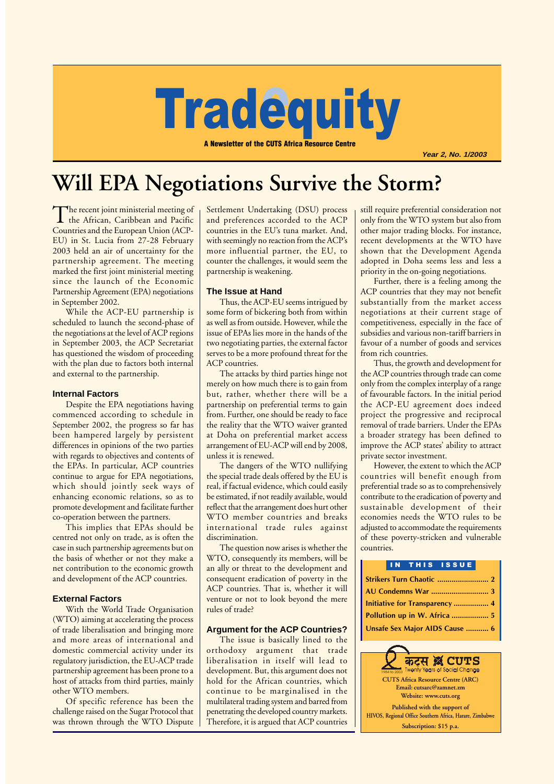# **Tradequity** equit

A Newsletter of the CUTS Africa Resource Centre

**Year 2, No. 1/2003**

## **Will EPA Negotiations Survive the Storm?**

The recent joint ministerial meeting of<br>the African, Caribbean and Pacific Countries and the European Union (ACP-EU) in St. Lucia from 27-28 February 2003 held an air of uncertainty for the partnership agreement. The meeting marked the first joint ministerial meeting since the launch of the Economic Partnership Agreement (EPA) negotiations in September 2002.

While the ACP-EU partnership is scheduled to launch the second-phase of the negotiations at the level of ACP regions in September 2003, the ACP Secretariat has questioned the wisdom of proceeding with the plan due to factors both internal and external to the partnership.

#### **Internal Factors**

Despite the EPA negotiations having commenced according to schedule in September 2002, the progress so far has been hampered largely by persistent differences in opinions of the two parties with regards to objectives and contents of the EPAs. In particular, ACP countries continue to argue for EPA negotiations, which should jointly seek ways of enhancing economic relations, so as to promote development and facilitate further co-operation between the partners.

This implies that EPAs should be centred not only on trade, as is often the case in such partnership agreements but on the basis of whether or not they make a net contribution to the economic growth and development of the ACP countries.

#### **External Factors**

With the World Trade Organisation (WTO) aiming at accelerating the process of trade liberalisation and bringing more and more areas of international and domestic commercial activity under its regulatory jurisdiction, the EU-ACP trade partnership agreement has been prone to a host of attacks from third parties, mainly other WTO members.

Of specific reference has been the challenge raised on the Sugar Protocol that was thrown through the WTO Dispute Settlement Undertaking (DSU) process and preferences accorded to the ACP countries in the EU's tuna market. And, with seemingly no reaction from the ACP's more influential partner, the EU, to counter the challenges, it would seem the partnership is weakening.

#### **The Issue at Hand**

Thus, the ACP-EU seems intrigued by some form of bickering both from within as well as from outside. However, while the issue of EPAs lies more in the hands of the two negotiating parties, the external factor serves to be a more profound threat for the ACP countries.

The attacks by third parties hinge not merely on how much there is to gain from but, rather, whether there will be a partnership on preferential terms to gain from. Further, one should be ready to face the reality that the WTO waiver granted at Doha on preferential market access arrangement of EU-ACP will end by 2008, unless it is renewed.

The dangers of the WTO nullifying the special trade deals offered by the EU is real, if factual evidence, which could easily be estimated, if not readily available, would reflect that the arrangement does hurt other WTO member countries and breaks international trade rules against discrimination.

The question now arises is whether the WTO, consequently its members, will be an ally or threat to the development and consequent eradication of poverty in the ACP countries. That is, whether it will venture or not to look beyond the mere rules of trade?

#### **Argument for the ACP Countries?**

The issue is basically lined to the orthodoxy argument that trade liberalisation in itself will lead to development. But, this argument does not hold for the African countries, which continue to be marginalised in the multilateral trading system and barred from penetrating the developed country markets. Therefore, it is argued that ACP countries still require preferential consideration not only from the WTO system but also from other major trading blocks. For instance, recent developments at the WTO have shown that the Development Agenda adopted in Doha seems less and less a priority in the on-going negotiations.

Further, there is a feeling among the ACP countries that they may not benefit substantially from the market access negotiations at their current stage of competitiveness, especially in the face of subsidies and various non-tariff barriers in favour of a number of goods and services from rich countries.

Thus, the growth and development for the ACP countries through trade can come only from the complex interplay of a range of favourable factors. In the initial period the ACP-EU agreement does indeed project the progressive and reciprocal removal of trade barriers. Under the EPAs a broader strategy has been defined to improve the ACP states' ability to attract private sector investment.

However, the extent to which the ACP countries will benefit enough from preferential trade so as to comprehensively contribute to the eradication of poverty and sustainable development of their economies needs the WTO rules to be adjusted to accommodate the requirements of these poverty-stricken and vulnerable countries.

|  |  |  | IN THIS ISSUE                  |  |
|--|--|--|--------------------------------|--|
|  |  |  |                                |  |
|  |  |  |                                |  |
|  |  |  |                                |  |
|  |  |  |                                |  |
|  |  |  | Unsafe Sex Major AIDS Cause  6 |  |

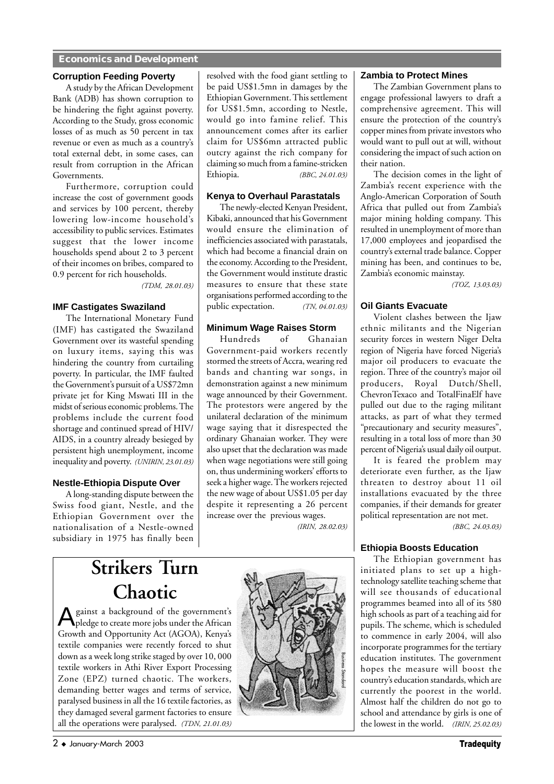#### **Economics and Development**

#### **Corruption Feeding Poverty**

A study by the African Development Bank (ADB) has shown corruption to be hindering the fight against poverty. According to the Study, gross economic losses of as much as 50 percent in tax revenue or even as much as a country's total external debt, in some cases, can result from corruption in the African Governments.

Furthermore, corruption could increase the cost of government goods and services by 100 percent, thereby lowering low-income household's accessibility to public services. Estimates suggest that the lower income households spend about 2 to 3 percent of their incomes on bribes, compared to 0.9 percent for rich households.

*(TDM, 28.01.03)*

#### **IMF Castigates Swaziland**

The International Monetary Fund (IMF) has castigated the Swaziland Government over its wasteful spending on luxury items, saying this was hindering the country from curtailing poverty. In particular, the IMF faulted the Government's pursuit of a US\$72mn private jet for King Mswati III in the midst of serious economic problems. The problems include the current food shortage and continued spread of HIV/ AIDS, in a country already besieged by persistent high unemployment, income inequality and poverty. *(UNIRIN, 23.01.03)*

#### **Nestle-Ethiopia Dispute Over**

A long-standing dispute between the Swiss food giant, Nestle, and the Ethiopian Government over the nationalisation of a Nestle-owned subsidiary in 1975 has finally been resolved with the food giant settling to be paid US\$1.5mn in damages by the Ethiopian Government. This settlement for US\$1.5mn, according to Nestle, would go into famine relief. This announcement comes after its earlier claim for US\$6mn attracted public outcry against the rich company for claiming so much from a famine-stricken Ethiopia. *(BBC, 24.01.03)*

#### **Kenya to Overhaul Parastatals**

The newly-elected Kenyan President, Kibaki, announced that his Government would ensure the elimination of inefficiencies associated with parastatals, which had become a financial drain on the economy. According to the President, the Government would institute drastic measures to ensure that these state organisations performed according to the public expectation. *(TN, 04.01.03)*

#### **Minimum Wage Raises Storm**

Hundreds of Ghanaian Government-paid workers recently stormed the streets of Accra, wearing red bands and chanting war songs, in demonstration against a new minimum wage announced by their Government. The protestors were angered by the unilateral declaration of the minimum wage saying that it disrespected the ordinary Ghanaian worker. They were also upset that the declaration was made when wage negotiations were still going on, thus undermining workers' efforts to seek a higher wage. The workers rejected the new wage of about US\$1.05 per day despite it representing a 26 percent increase over the previous wages.

*(IRIN, 28.02.03)*

## **Strikers Turn Chaotic**

Against a background of the government's pledge to create more jobs under the African Growth and Opportunity Act (AGOA), Kenya's textile companies were recently forced to shut down as a week long strike staged by over 10, 000 textile workers in Athi River Export Processing Zone (EPZ) turned chaotic. The workers, demanding better wages and terms of service, paralysed business in all the 16 textile factories, as they damaged several garment factories to ensure all the operations were paralysed. *(TDN, 21.01.03)*



#### **Zambia to Protect Mines**

The Zambian Government plans to engage professional lawyers to draft a comprehensive agreement. This will ensure the protection of the country's copper mines from private investors who would want to pull out at will, without considering the impact of such action on their nation.

The decision comes in the light of Zambia's recent experience with the Anglo-American Corporation of South Africa that pulled out from Zambia's major mining holding company. This resulted in unemployment of more than 17,000 employees and jeopardised the country's external trade balance. Copper mining has been, and continues to be, Zambia's economic mainstay.

*(TOZ, 13.03.03)*

#### **Oil Giants Evacuate**

Violent clashes between the Ijaw ethnic militants and the Nigerian security forces in western Niger Delta region of Nigeria have forced Nigeria's major oil producers to evacuate the region. Three of the country's major oil producers, Royal Dutch/Shell, ChevronTexaco and TotalFinaElf have pulled out due to the raging militant attacks, as part of what they termed "precautionary and security measures", resulting in a total loss of more than 30 percent of Nigeria's usual daily oil output.

It is feared the problem may deteriorate even further, as the Ijaw threaten to destroy about 11 oil installations evacuated by the three companies, if their demands for greater political representation are not met.

*(BBC, 24.03.03)*

#### **Ethiopia Boosts Education**

The Ethiopian government has initiated plans to set up a hightechnology satellite teaching scheme that will see thousands of educational programmes beamed into all of its 580 high schools as part of a teaching aid for pupils. The scheme, which is scheduled to commence in early 2004, will also incorporate programmes for the tertiary education institutes. The government hopes the measure will boost the country's education standards, which are currently the poorest in the world. Almost half the children do not go to school and attendance by girls is one of the lowest in the world. *(IRIN, 25.02.03)*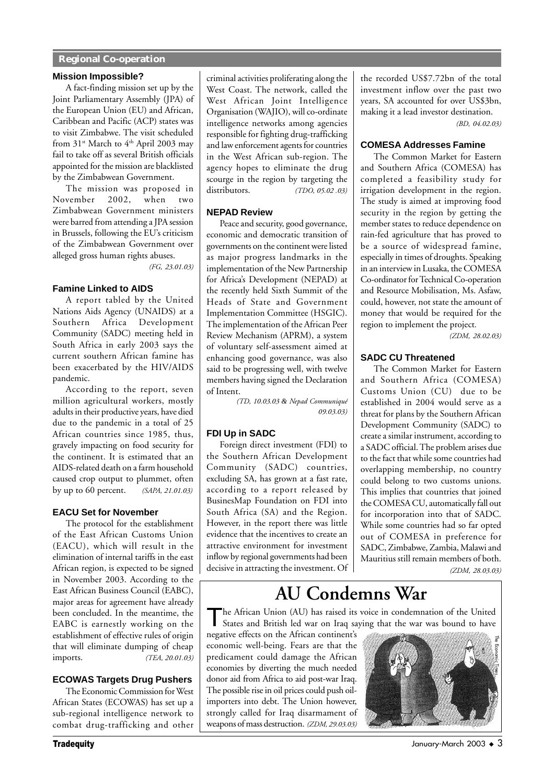#### **Regional Co-operation**

#### **Mission Impossible?**

A fact-finding mission set up by the Joint Parliamentary Assembly (JPA) of the European Union (EU) and African, Caribbean and Pacific (ACP) states was to visit Zimbabwe. The visit scheduled from  $31$ <sup>st</sup> March to  $4<sup>th</sup>$  April 2003 may fail to take off as several British officials appointed for the mission are blacklisted by the Zimbabwean Government.

The mission was proposed in November 2002, when two Zimbabwean Government ministers were barred from attending a JPA session in Brussels, following the EU's criticism of the Zimbabwean Government over alleged gross human rights abuses.

*(FG, 23.01.03)*

#### **Famine Linked to AIDS**

A report tabled by the United Nations Aids Agency (UNAIDS) at a Southern Africa Development Community (SADC) meeting held in South Africa in early 2003 says the current southern African famine has been exacerbated by the HIV/AIDS pandemic.

According to the report, seven million agricultural workers, mostly adults in their productive years, have died due to the pandemic in a total of 25 African countries since 1985, thus, gravely impacting on food security for the continent. It is estimated that an AIDS-related death on a farm household caused crop output to plummet, often by up to 60 percent. *(SAPA, 21.01.03)*

#### **EACU Set for November**

The protocol for the establishment of the East African Customs Union (EACU), which will result in the elimination of internal tariffs in the east African region, is expected to be signed in November 2003. According to the East African Business Council (EABC), major areas for agreement have already been concluded. In the meantime, the EABC is earnestly working on the establishment of effective rules of origin that will eliminate dumping of cheap imports. *(TEA, 20.01.03)*

#### **ECOWAS Targets Drug Pushers**

The Economic Commission for West African States (ECOWAS) has set up a sub-regional intelligence network to combat drug-trafficking and other

criminal activities proliferating along the West Coast. The network, called the West African Joint Intelligence Organisation (WAJIO), will co-ordinate intelligence networks among agencies responsible for fighting drug-trafficking and law enforcement agents for countries in the West African sub-region. The agency hopes to eliminate the drug scourge in the region by targeting the distributors. *(TDO, 05.02 .03)*

#### **NEPAD Review**

Peace and security, good governance, economic and democratic transition of governments on the continent were listed as major progress landmarks in the implementation of the New Partnership for Africa's Development (NEPAD) at the recently held Sixth Summit of the Heads of State and Government Implementation Committee (HSGIC). The implementation of the African Peer Review Mechanism (APRM), a system of voluntary self-assessment aimed at enhancing good governance, was also said to be progressing well, with twelve members having signed the Declaration of Intent.

*(TD, 10.03.03 & Nepad Communiqué 09.03.03)*

#### **FDI Up in SADC**

Foreign direct investment (FDI) to the Southern African Development Community (SADC) countries, excluding SA, has grown at a fast rate, according to a report released by BusinesMap Foundation on FDI into South Africa (SA) and the Region. However, in the report there was little evidence that the incentives to create an attractive environment for investment inflow by regional governments had been decisive in attracting the investment. Of the recorded US\$7.72bn of the total investment inflow over the past two years, SA accounted for over US\$3bn, making it a lead investor destination.

*(BD, 04.02.03)*

#### **COMESA Addresses Famine**

The Common Market for Eastern and Southern Africa (COMESA) has completed a feasibility study for irrigation development in the region. The study is aimed at improving food security in the region by getting the member states to reduce dependence on rain-fed agriculture that has proved to be a source of widespread famine, especially in times of droughts. Speaking in an interview in Lusaka, the COMESA Co-ordinator for Technical Co-operation and Resource Mobilisation, Ms. Asfaw, could, however, not state the amount of money that would be required for the region to implement the project*.*

*(ZDM, 28.02.03)*

#### **SADC CU Threatened**

The Common Market for Eastern and Southern Africa (COMESA) Customs Union (CU) due to be established in 2004 would serve as a threat for plans by the Southern African Development Community (SADC) to create a similar instrument, according to a SADC official. The problem arises due to the fact that while some countries had overlapping membership, no country could belong to two customs unions. This implies that countries that joined the COMESA CU, automatically fall out for incorporation into that of SADC. While some countries had so far opted out of COMESA in preference for SADC, Zimbabwe, Zambia, Malawi and Mauritius still remain members of both. *(ZDM, 28.03.03)*

## **AU Condemns War**

The African Union (AU) has raised its voice in condemnation of the United States and British led war on Iraq saying that the war was bound to have

negative effects on the African continent's economic well-being. Fears are that the predicament could damage the African economies by diverting the much needed donor aid from Africa to aid post-war Iraq. The possible rise in oil prices could push oilimporters into debt. The Union however, strongly called for Iraq disarmament of weapons of mass destruction. *(ZDM, 29.03.03)*

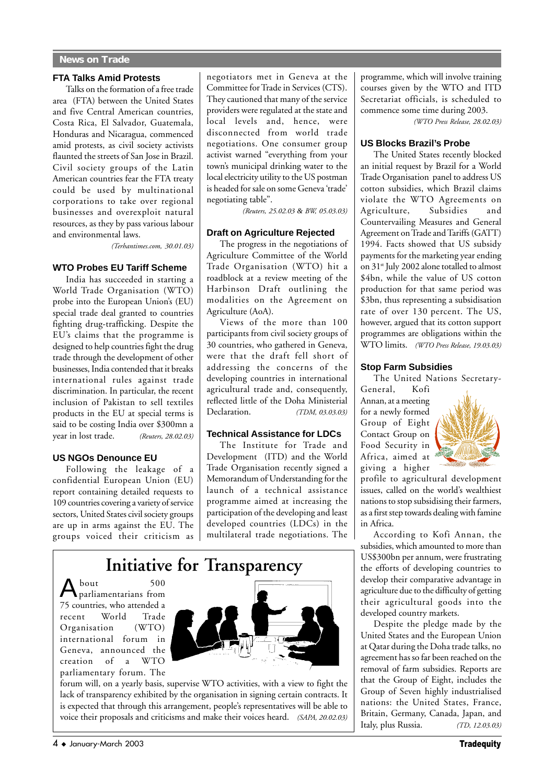#### **FTA Talks Amid Protests**

Talks on the formation of a free trade area (FTA) between the United States and five Central American countries, Costa Rica, El Salvador, Guatemala, Honduras and Nicaragua, commenced amid protests, as civil society activists flaunted the streets of San Jose in Brazil. Civil society groups of the Latin American countries fear the FTA treaty could be used by multinational corporations to take over regional businesses and overexploit natural resources, as they by pass various labour and environmental laws.

*(Terhantimes.com, 30.01.03)*

#### **WTO Probes EU Tariff Scheme**

India has succeeded in starting a World Trade Organisation (WTO) probe into the European Union's (EU) special trade deal granted to countries fighting drug-trafficking. Despite the EU's claims that the programme is designed to help countries fight the drug trade through the development of other businesses, India contended that it breaks international rules against trade discrimination. In particular, the recent inclusion of Pakistan to sell textiles products in the EU at special terms is said to be costing India over \$300mn a year in lost trade. *(Reuters, 28.02.03)*

#### **US NGOs Denounce EU**

Following the leakage of a confidential European Union (EU) report containing detailed requests to 109 countries covering a variety of service sectors, United States civil society groups are up in arms against the EU. The groups voiced their criticism as negotiators met in Geneva at the Committee for Trade in Services (CTS). They cautioned that many of the service providers were regulated at the state and local levels and, hence, were disconnected from world trade negotiations. One consumer group activist warned "everything from your town's municipal drinking water to the local electricity utility to the US postman is headed for sale on some Geneva 'trade' negotiating table".

*(Reuters, 25.02.03 & BW, 05.03.03)*

#### **Draft on Agriculture Rejected**

The progress in the negotiations of Agriculture Committee of the World Trade Organisation (WTO) hit a roadblock at a review meeting of the Harbinson Draft outlining the modalities on the Agreement on Agriculture (AoA).

Views of the more than 100 participants from civil society groups of 30 countries, who gathered in Geneva, were that the draft fell short of addressing the concerns of the developing countries in international agricultural trade and, consequently, reflected little of the Doha Ministerial Declaration. *(TDM, 03.03.03)*

#### **Technical Assistance for LDCs**

The Institute for Trade and Development (ITD) and the World Trade Organisation recently signed a Memorandum of Understanding for the launch of a technical assistance programme aimed at increasing the participation of the developing and least developed countries (LDCs) in the multilateral trade negotiations. The

## **Initiative for Transparency**

About 500 parliamentarians from 75 countries, who attended a recent World Trade Organisation (WTO) international forum in Geneva, announced the creation of a WTO parliamentary forum. The



forum will, on a yearly basis, supervise WTO activities, with a view to fight the lack of transparency exhibited by the organisation in signing certain contracts. It is expected that through this arrangement, people's representatives will be able to voice their proposals and criticisms and make their voices heard. *(SAPA, 20.02.03)* programme, which will involve training courses given by the WTO and ITD Secretariat officials, is scheduled to commence some time during 2003.

*(WTO Press Release, 28.02.03)*

#### **US Blocks Brazil's Probe**

The United States recently blocked an initial request by Brazil for a World Trade Organisation panel to address US cotton subsidies, which Brazil claims violate the WTO Agreements on Agriculture, Subsidies and Countervailing Measures and General Agreement on Trade and Tariffs (GATT) 1994. Facts showed that US subsidy payments for the marketing year ending on 31<sup>st</sup> July 2002 alone totalled to almost \$4bn, while the value of US cotton production for that same period was \$3bn, thus representing a subsidisation rate of over 130 percent. The US, however, argued that its cotton support programmes are obligations within the WTO limits. *(WTO Press Release, 19.03.03)*

#### **Stop Farm Subsidies**

The United Nations Secretary-

General, Kofi Annan, at a meeting for a newly formed Group of Eight Contact Group on Food Security in Africa, aimed at giving a higher



profile to agricultural development issues, called on the world's wealthiest nations to stop subsidising their farmers, as a first step towards dealing with famine in Africa.

According to Kofi Annan, the subsidies, which amounted to more than US\$300bn per annum, were frustrating the efforts of developing countries to develop their comparative advantage in agriculture due to the difficulty of getting their agricultural goods into the developed country markets.

Despite the pledge made by the United States and the European Union at Qatar during the Doha trade talks, no agreement has so far been reached on the removal of farm subsidies. Reports are that the Group of Eight, includes the Group of Seven highly industrialised nations: the United States, France, Britain, Germany, Canada, Japan, and Italy, plus Russia. *(TD, 12.03.03)*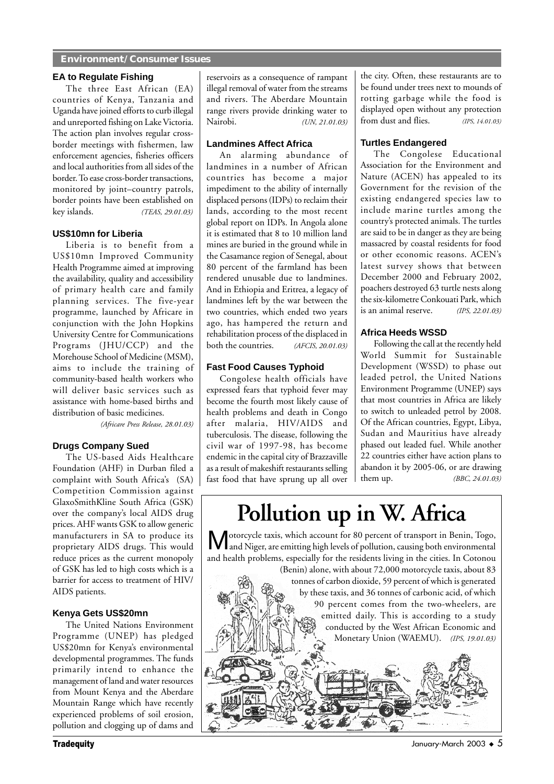#### **Environment/Consumer Issues**

#### **EA to Regulate Fishing**

The three East African (EA) countries of Kenya, Tanzania and Uganda have joined efforts to curb illegal and unreported fishing on Lake Victoria. The action plan involves regular crossborder meetings with fishermen, law enforcement agencies, fisheries officers and local authorities from all sides of the border. To ease cross-border transactions, monitored by joint–country patrols, border points have been established on key islands. *(TEAS, 29.01.03)*

#### **US\$10mn for Liberia**

Liberia is to benefit from a US\$10mn Improved Community Health Programme aimed at improving the availability, quality and accessibility of primary health care and family planning services. The five-year programme, launched by Africare in conjunction with the John Hopkins University Centre for Communications Programs (JHU/CCP) and the Morehouse School of Medicine (MSM), aims to include the training of community-based health workers who will deliver basic services such as assistance with home-based births and distribution of basic medicines.

*(Africare Press Release, 28.01.03)*

#### **Drugs Company Sued**

The US-based Aids Healthcare Foundation (AHF) in Durban filed a complaint with South Africa's (SA) Competition Commission against GlaxoSmithKline South Africa (GSK) over the company's local AIDS drug prices. AHF wants GSK to allow generic manufacturers in SA to produce its proprietary AIDS drugs. This would reduce prices as the current monopoly of GSK has led to high costs which is a barrier for access to treatment of HIV/ AIDS patients.

#### **Kenya Gets US\$20mn**

The United Nations Environment Programme (UNEP) has pledged US\$20mn for Kenya's environmental developmental programmes. The funds primarily intend to enhance the management of land and water resources from Mount Kenya and the Aberdare Mountain Range which have recently experienced problems of soil erosion, pollution and clogging up of dams and

reservoirs as a consequence of rampant illegal removal of water from the streams and rivers. The Aberdare Mountain range rivers provide drinking water to Nairobi. *(UN, 21.01.03)*

#### **Landmines Affect Africa**

An alarming abundance of landmines in a number of African countries has become a major impediment to the ability of internally displaced persons (IDPs) to reclaim their lands, according to the most recent global report on IDPs. In Angola alone it is estimated that 8 to 10 million land mines are buried in the ground while in the Casamance region of Senegal, about 80 percent of the farmland has been rendered unusable due to landmines. And in Ethiopia and Eritrea, a legacy of landmines left by the war between the two countries, which ended two years ago, has hampered the return and rehabilitation process of the displaced in both the countries. *(AFCIS, 20.01.03)*

#### **Fast Food Causes Typhoid**

Congolese health officials have expressed fears that typhoid fever may become the fourth most likely cause of health problems and death in Congo after malaria, HIV/AIDS and tuberculosis. The disease, following the civil war of 1997-98, has become endemic in the capital city of Brazzaville as a result of makeshift restaurants selling fast food that have sprung up all over the city. Often, these restaurants are to be found under trees next to mounds of rotting garbage while the food is displayed open without any protection from dust and flies. *(IPS, 14.01.03)*

#### **Turtles Endangered**

The Congolese Educational Association for the Environment and Nature (ACEN) has appealed to its Government for the revision of the existing endangered species law to include marine turtles among the country's protected animals. The turtles are said to be in danger as they are being massacred by coastal residents for food or other economic reasons. ACEN's latest survey shows that between December 2000 and February 2002, poachers destroyed 63 turtle nests along the six-kilometre Conkouati Park, which is an animal reserve. *(IPS, 22.01.03)*

#### **Africa Heeds WSSD**

Following the call at the recently held World Summit for Sustainable Development (WSSD) to phase out leaded petrol, the United Nations Environment Programme (UNEP) says that most countries in Africa are likely to switch to unleaded petrol by 2008. Of the African countries, Egypt, Libya, Sudan and Mauritius have already phased out leaded fuel. While another 22 countries either have action plans to abandon it by 2005-06, or are drawing them up. *(BBC, 24.01.03)*

# **Pollution up in W. Africa**

Motorcycle taxis, which account for 80 percent of transport in Benin, Togo, and Niger, are emitting high levels of pollution, causing both environmental and health problems, especially for the residents living in the cities. In Cotonou (Benin) alone, with about 72,000 motorcycle taxis, about 83

tonnes of carbon dioxide, 59 percent of which is generated by these taxis, and 36 tonnes of carbonic acid, of which 90 percent comes from the two-wheelers, are emitted daily. This is according to a study conducted by the West African Economic and Monetary Union (WAEMU). *(IPS, 19.01.03)*



**y** and the state of the state of the state of the state of the state of the state of the state of the state of the state of the state of the state of the state of the state of the state of the state of the state of the st arch 2003 ◆ 5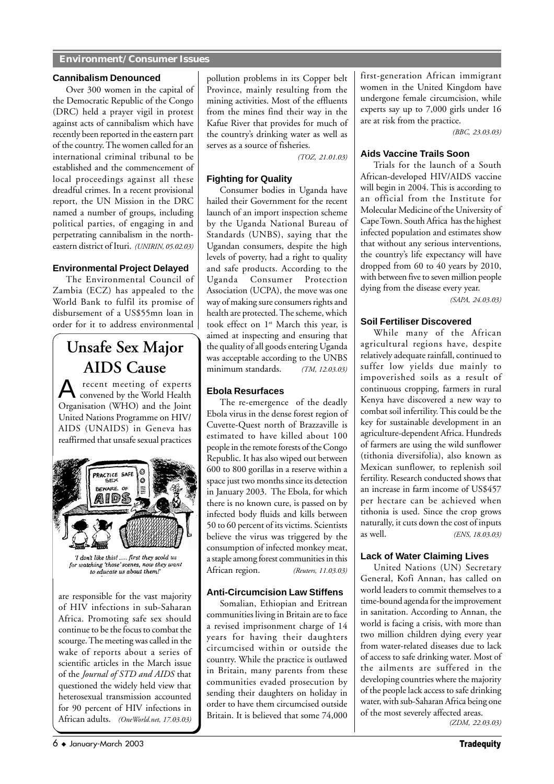#### **Environment/Consumer Issues**

#### **Cannibalism Denounced**

Over 300 women in the capital of the Democratic Republic of the Congo (DRC) held a prayer vigil in protest against acts of cannibalism which have recently been reported in the eastern part of the country. The women called for an international criminal tribunal to be established and the commencement of local proceedings against all these dreadful crimes. In a recent provisional report, the UN Mission in the DRC named a number of groups, including political parties, of engaging in and perpetrating cannibalism in the northeastern district of Ituri. *(UNIRIN, 05.02.03)*

#### **Environmental Project Delayed**

The Environmental Council of Zambia (ECZ) has appealed to the World Bank to fulfil its promise of disbursement of a US\$55mn loan in order for it to address environmental

## **Unsafe Sex Major AIDS Cause**

A recent meeting of experts convened by the World Health Organisation (WHO) and the Joint United Nations Programme on HIV/ AIDS (UNAIDS) in Geneva has reaffirmed that unsafe sexual practices



'I don't like this! ..... first they scold us for watching 'those' scenes, now they want to educate us about them!'

are responsible for the vast majority of HIV infections in sub-Saharan Africa. Promoting safe sex should continue to be the focus to combat the scourge. The meeting was called in the wake of reports about a series of scientific articles in the March issue of the *Journal of STD and AIDS* that questioned the widely held view that heterosexual transmission accounted for 90 percent of HIV infections in African adults. *(OneWorld.net, 17.03.03)*

pollution problems in its Copper belt Province, mainly resulting from the mining activities. Most of the effluents from the mines find their way in the Kafue River that provides for much of the country's drinking water as well as serves as a source of fisheries.

*(TOZ, 21.01.03)*

#### **Fighting for Quality**

Consumer bodies in Uganda have hailed their Government for the recent launch of an import inspection scheme by the Uganda National Bureau of Standards (UNBS), saying that the Ugandan consumers, despite the high levels of poverty, had a right to quality and safe products. According to the Uganda Consumer Protection Association (UCPA), the move was one way of making sure consumers rights and health are protected. The scheme, which took effect on 1<sup>st</sup> March this year, is aimed at inspecting and ensuring that the quality of all goods entering Uganda was acceptable according to the UNBS minimum standards. *(TM, 12.03.03)*

#### **Ebola Resurfaces**

The re-emergence of the deadly Ebola virus in the dense forest region of Cuvette-Quest north of Brazzaville is estimated to have killed about 100 people in the remote forests of the Congo Republic. It has also wiped out between 600 to 800 gorillas in a reserve within a space just two months since its detection in January 2003. The Ebola, for which there is no known cure, is passed on by infected body fluids and kills between 50 to 60 percent of its victims. Scientists believe the virus was triggered by the consumption of infected monkey meat, a staple among forest communities in this African region. *(Reuters, 11.03.03)*

#### **Anti-Circumcision Law Stiffens**

Somalian, Ethiopian and Eritrean communities living in Britain are to face a revised imprisonment charge of 14 years for having their daughters circumcised within or outside the country. While the practice is outlawed in Britain, many parents from these communities evaded prosecution by sending their daughters on holiday in order to have them circumcised outside Britain. It is believed that some 74,000

first-generation African immigrant women in the United Kingdom have undergone female circumcision, while experts say up to 7,000 girls under 16 are at risk from the practice.

*(BBC, 23.03.03)*

#### **Aids Vaccine Trails Soon**

Trials for the launch of a South African-developed HIV/AIDS vaccine will begin in 2004. This is according to an official from the Institute for Molecular Medicine of the University of Cape Town. South Africa has the highest infected population and estimates show that without any serious interventions, the country's life expectancy will have dropped from 60 to 40 years by 2010, with between five to seven million people dying from the disease every year.

*(SAPA, 24.03.03)*

#### **Soil Fertiliser Discovered**

While many of the African agricultural regions have, despite relatively adequate rainfall, continued to suffer low yields due mainly to impoverished soils as a result of continuous cropping, farmers in rural Kenya have discovered a new way to combat soil infertility. This could be the key for sustainable development in an agriculture-dependent Africa. Hundreds of farmers are using the wild sunflower (tithonia diversifolia), also known as Mexican sunflower, to replenish soil fertility. Research conducted shows that an increase in farm income of US\$457 per hectare can be achieved when tithonia is used. Since the crop grows naturally, it cuts down the cost of inputs as well. *(ENS, 18.03.03)*

#### **Lack of Water Claiming Lives**

United Nations (UN) Secretary General, Kofi Annan, has called on world leaders to commit themselves to a time-bound agenda for the improvement in sanitation. According to Annan, the world is facing a crisis, with more than two million children dying every year from water-related diseases due to lack of access to safe drinking water. Most of the ailments are suffered in the developing countries where the majority of the people lack access to safe drinking water, with sub-Saharan Africa being one of the most severely affected areas.

*(ZDM, 22.03.03)*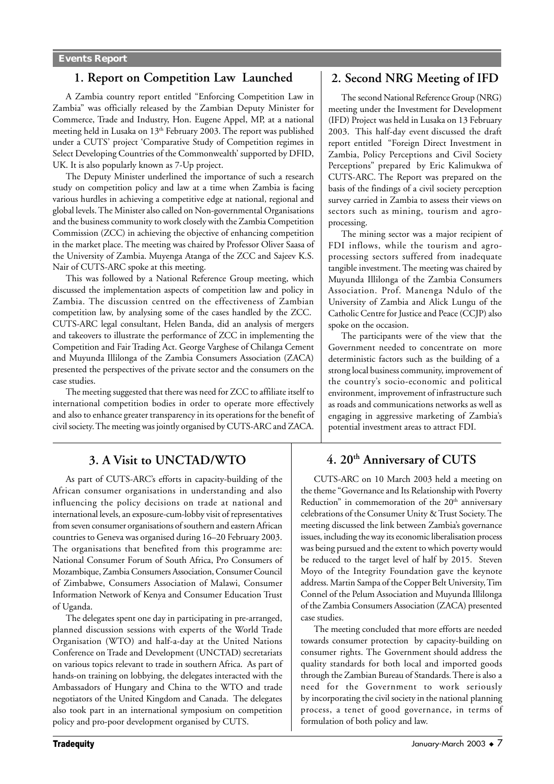#### **1. Report on Competition Law Launched**

A Zambia country report entitled "Enforcing Competition Law in Zambia" was officially released by the Zambian Deputy Minister for Commerce, Trade and Industry, Hon. Eugene Appel, MP, at a national meeting held in Lusaka on 13<sup>th</sup> February 2003. The report was published under a CUTS' project 'Comparative Study of Competition regimes in Select Developing Countries of the Commonwealth' supported by DFID, UK. It is also popularly known as 7-Up project.

The Deputy Minister underlined the importance of such a research study on competition policy and law at a time when Zambia is facing various hurdles in achieving a competitive edge at national, regional and global levels. The Minister also called on Non-governmental Organisations and the business community to work closely with the Zambia Competition Commission (ZCC) in achieving the objective of enhancing competition in the market place. The meeting was chaired by Professor Oliver Saasa of the University of Zambia. Muyenga Atanga of the ZCC and Sajeev K.S. Nair of CUTS-ARC spoke at this meeting.

This was followed by a National Reference Group meeting, which discussed the implementation aspects of competition law and policy in Zambia. The discussion centred on the effectiveness of Zambian competition law, by analysing some of the cases handled by the ZCC. CUTS-ARC legal consultant, Helen Banda, did an analysis of mergers and takeovers to illustrate the performance of ZCC in implementing the Competition and Fair Trading Act. George Varghese of Chilanga Cement and Muyunda Illilonga of the Zambia Consumers Association (ZACA) presented the perspectives of the private sector and the consumers on the case studies.

The meeting suggested that there was need for ZCC to affiliate itself to international competition bodies in order to operate more effectively and also to enhance greater transparency in its operations for the benefit of civil society. The meeting was jointly organised by CUTS-ARC and ZACA.

#### **3. A Visit to UNCTAD/WTO**

As part of CUTS-ARC's efforts in capacity-building of the African consumer organisations in understanding and also influencing the policy decisions on trade at national and international levels, an exposure-cum-lobby visit of representatives from seven consumer organisations of southern and eastern African countries to Geneva was organised during 16–20 February 2003. The organisations that benefited from this programme are: National Consumer Forum of South Africa, Pro Consumers of Mozambique, Zambia Consumers Association, Consumer Council of Zimbabwe, Consumers Association of Malawi, Consumer Information Network of Kenya and Consumer Education Trust of Uganda.

The delegates spent one day in participating in pre-arranged, planned discussion sessions with experts of the World Trade Organisation (WTO) and half-a-day at the United Nations Conference on Trade and Development (UNCTAD) secretariats on various topics relevant to trade in southern Africa. As part of hands-on training on lobbying, the delegates interacted with the Ambassadors of Hungary and China to the WTO and trade negotiators of the United Kingdom and Canada. The delegates also took part in an international symposium on competition policy and pro-poor development organised by CUTS.

#### **2. Second NRG Meeting of IFD**

The second National Reference Group (NRG) meeting under the Investment for Development (IFD) Project was held in Lusaka on 13 February 2003. This half-day event discussed the draft report entitled "Foreign Direct Investment in Zambia, Policy Perceptions and Civil Society Perceptions" prepared by Eric Kalimukwa of CUTS-ARC. The Report was prepared on the basis of the findings of a civil society perception survey carried in Zambia to assess their views on sectors such as mining, tourism and agroprocessing.

The mining sector was a major recipient of FDI inflows, while the tourism and agroprocessing sectors suffered from inadequate tangible investment. The meeting was chaired by Muyunda Illilonga of the Zambia Consumers Association. Prof. Manenga Ndulo of the University of Zambia and Alick Lungu of the Catholic Centre for Justice and Peace (CCJP) also spoke on the occasion.

The participants were of the view that the Government needed to concentrate on more deterministic factors such as the building of a strong local business community, improvement of the country's socio-economic and political environment, improvement of infrastructure such as roads and communications networks as well as engaging in aggressive marketing of Zambia's potential investment areas to attract FDI.

### **4. 20th Anniversary of CUTS**

CUTS-ARC on 10 March 2003 held a meeting on the theme "Governance and Its Relationship with Poverty Reduction" in commemoration of the  $20<sup>th</sup>$  anniversary celebrations of the Consumer Unity & Trust Society. The meeting discussed the link between Zambia's governance issues, including the way its economic liberalisation process was being pursued and the extent to which poverty would be reduced to the target level of half by 2015. Steven Moyo of the Integrity Foundation gave the keynote address. Martin Sampa of the Copper Belt University, Tim Connel of the Pelum Association and Muyunda Illilonga of the Zambia Consumers Association (ZACA) presented case studies.

The meeting concluded that more efforts are needed towards consumer protection by capacity-building on consumer rights. The Government should address the quality standards for both local and imported goods through the Zambian Bureau of Standards. There is also a need for the Government to work seriously by incorporating the civil society in the national planning process, a tenet of good governance, in terms of formulation of both policy and law.